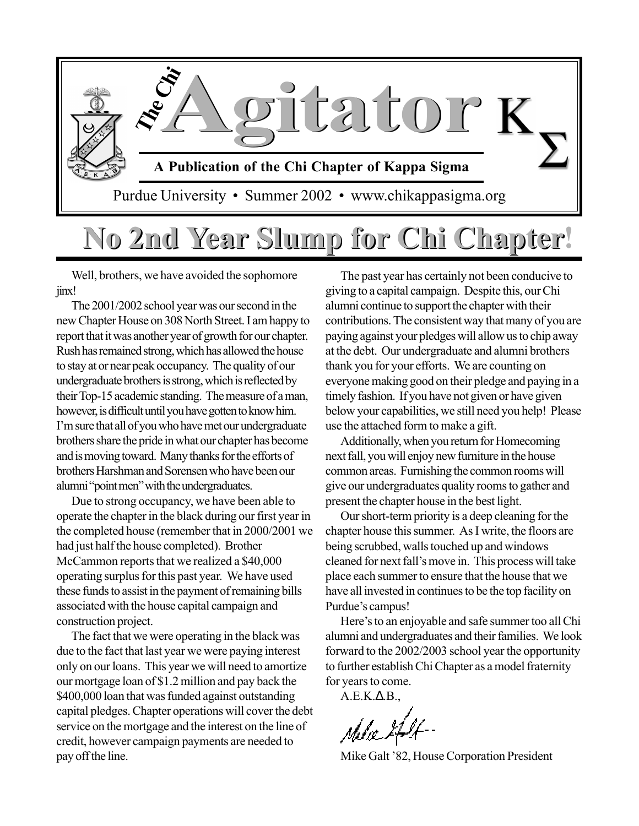

## **No 2nd Year Slump for Chi Chapter! No 2nd Year Slump for Chi Chapter**

Well, brothers, we have avoided the sophomore jinx!

The 2001/2002 school year was our second in the new Chapter House on 308 North Street. I am happy to report that it was another year of growth for our chapter. Rush has remained strong, which has allowed the house to stay at or near peak occupancy. The quality of our undergraduate brothers is strong, which is reflected by their Top-15 academic standing. The measure of a man, however, is difficult until you have gotten to know him. I'm sure that all of you who have met our undergraduate brothers share the pride in what our chapter has become and is moving toward. Many thanks for the efforts of brothers Harshman and Sorensen who have been our alumni "point men" with the undergraduates.

Due to strong occupancy, we have been able to operate the chapter in the black during our first year in the completed house (remember that in 2000/2001 we had just half the house completed). Brother McCammon reports that we realized a \$40,000 operating surplus for this past year. We have used these funds to assist in the payment of remaining bills associated with the house capital campaign and construction project.

The fact that we were operating in the black was due to the fact that last year we were paying interest only on our loans. This year we will need to amortize our mortgage loan of \$1.2 million and pay back the \$400,000 loan that was funded against outstanding capital pledges. Chapter operations will cover the debt service on the mortgage and the interest on the line of credit, however campaign payments are needed to pay off the line.

The past year has certainly not been conducive to giving to a capital campaign. Despite this, our Chi alumni continue to support the chapter with their contributions. The consistent way that many of you are paying against your pledges will allow us to chip away at the debt. Our undergraduate and alumni brothers thank you for your efforts. We are counting on everyone making good on their pledge and paying in a timely fashion. If you have not given or have given below your capabilities, we still need you help! Please use the attached form to make a gift.

Additionally, when you return for Homecoming next fall, you will enjoy new furniture in the house common areas. Furnishing the common rooms will give our undergraduates quality rooms to gather and present the chapter house in the best light.

Our short-term priority is a deep cleaning for the chapter house this summer. As I write, the floors are being scrubbed, walls touched up and windows cleaned for next fall's move in. This process will take place each summer to ensure that the house that we have all invested in continues to be the top facility on Purdue's campus!

Here's to an enjoyable and safe summer too all Chi alumni and undergraduates and their families. We look forward to the 2002/2003 school year the opportunity to further establish Chi Chapter as a model fraternity for years to come.

 $A.E.K.\Delta.B.,$ 

Mike Galt '82, House Corporation President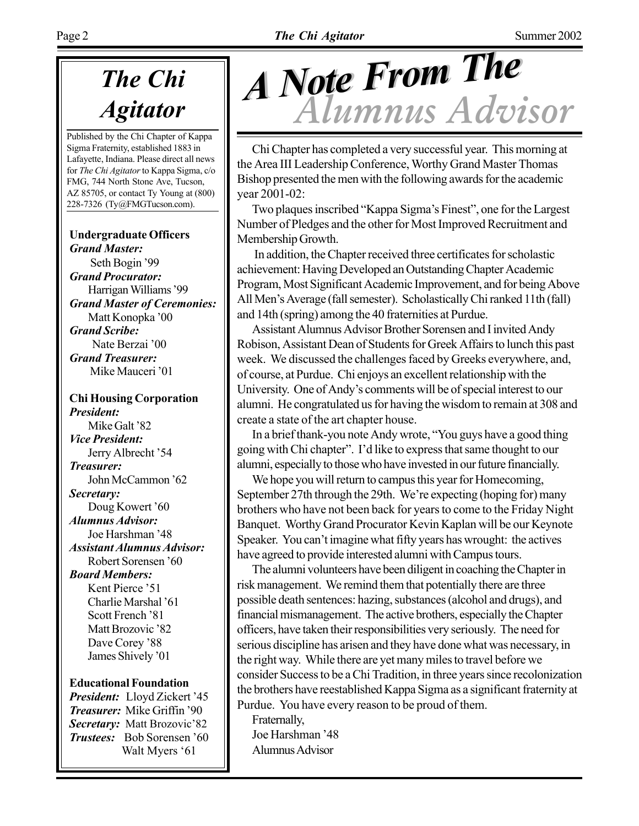## *Agitator*

Published by the Chi Chapter of Kappa Sigma Fraternity, established 1883 in Lafayette, Indiana. Please direct all news for *The Chi Agitator* to Kappa Sigma, c/o FMG, 744 North Stone Ave, Tucson, AZ 85705, or contact Ty Young at (800) 228-7326 (Ty@FMGTucson.com).

#### **Undergraduate Officers** *Grand Master:*

Seth Bogin '99 *Grand Procurator:* Harrigan Williams '99 *Grand Master of Ceremonies:* Matt Konopka '00 *Grand Scribe:* Nate Berzai '00 *Grand Treasurer:* Mike Mauceri '01

**Chi Housing Corporation** *President:* Mike Galt '82 *Vice President:* Jerry Albrecht '54 *Treasurer:* John McCammon '62 *Secretary:* Doug Kowert '60 *Alumnus Advisor:* Joe Harshman '48 *Assistant Alumnus Advisor:* Robert Sorensen '60 *Board Members:* Kent Pierce '51 Charlie Marshal '61 Scott French '81 Matt Brozovic '82 Dave Corey '88 James Shively '01

#### **Educational Foundation**

*President:* Lloyd Zickert '45 **Treasurer:** Mike Griffin '90 **Secretary:** Matt Brozovic'82 *Trustees:* Bob Sorensen '60 Walt Myers '61

# *Alumnus Advisor A Note From The A Note From The*

Chi Chapter has completed a very successful year. This morning at the Area III Leadership Conference, Worthy Grand Master Thomas Bishop presented the men with the following awards for the academic year 2001-02:

Two plaques inscribed "Kappa Sigma's Finest", one for the Largest Number of Pledges and the other for Most Improved Recruitment and Membership Growth.

 In addition, the Chapter received three certificates for scholastic achievement: Having Developed an Outstanding Chapter Academic Program, Most Significant Academic Improvement, and for being Above All Men's Average (fall semester). Scholastically Chi ranked 11th (fall) and 14th (spring) among the 40 fraternities at Purdue.

Assistant Alumnus Advisor Brother Sorensen and I invited Andy Robison, Assistant Dean of Students for Greek Affairs to lunch this past week. We discussed the challenges faced by Greeks everywhere, and, of course, at Purdue. Chi enjoys an excellent relationship with the University. One of Andy's comments will be of special interest to our alumni. He congratulated us for having the wisdom to remain at 308 and create a state of the art chapter house.

In a brief thank-you note Andy wrote, "You guys have a good thing going with Chi chapter". I'd like to express that same thought to our alumni, especially to those who have invested in our future financially.

We hope you will return to campus this year for Homecoming, September 27th through the 29th. We're expecting (hoping for) many brothers who have not been back for years to come to the Friday Night Banquet. Worthy Grand Procurator Kevin Kaplan will be our Keynote Speaker. You can't imagine what fifty years has wrought: the actives have agreed to provide interested alumni with Campus tours.

The alumni volunteers have been diligent in coaching the Chapter in risk management. We remind them that potentially there are three possible death sentences: hazing, substances (alcohol and drugs), and financial mismanagement. The active brothers, especially the Chapter officers, have taken their responsibilities very seriously. The need for serious discipline has arisen and they have done what was necessary, in the right way. While there are yet many miles to travel before we consider Success to be a Chi Tradition, in three years since recolonization the brothers have reestablished Kappa Sigma as a significant fraternity at Purdue. You have every reason to be proud of them.

Fraternally, Joe Harshman '48 Alumnus Advisor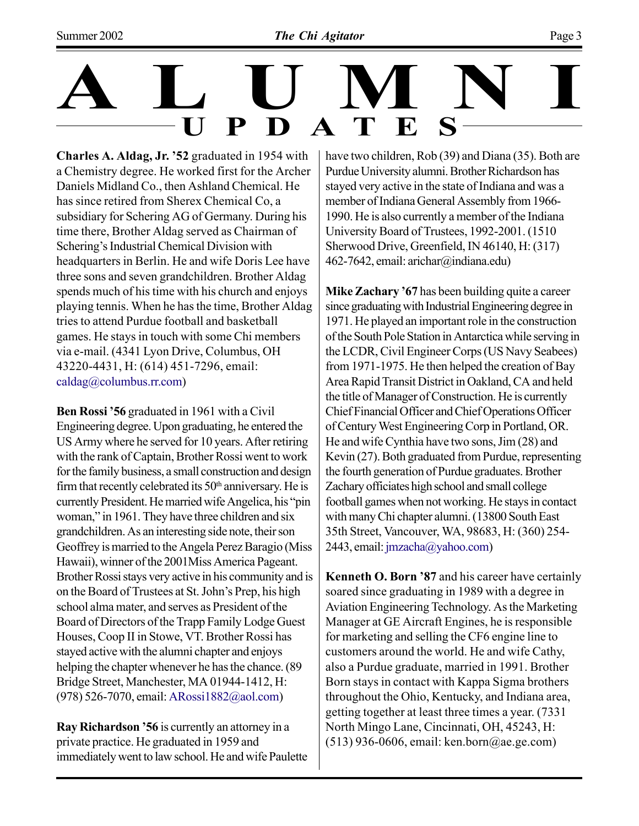**Charles A. Aldag, Jr. '52 graduated in 1954 with** a Chemistry degree. He worked first for the Archer Daniels Midland Co., then Ashland Chemical. He has since retired from Sherex Chemical Co, a subsidiary for Schering AG of Germany. During his time there, Brother Aldag served as Chairman of Schering's Industrial Chemical Division with headquarters in Berlin. He and wife Doris Lee have three sons and seven grandchildren. Brother Aldag spends much of his time with his church and enjoys playing tennis. When he has the time, Brother Aldag tries to attend Purdue football and basketball games. He stays in touch with some Chi members via e-mail. (4341 Lyon Drive, Columbus, OH 43220-4431, H: (614) 451-7296, email: caldag@columbus.rr.com)

**Ben Rossi '56 graduated in 1961 with a Civil** Engineering degree. Upon graduating, he entered the US Army where he served for 10 years. After retiring with the rank of Captain, Brother Rossi went to work for the family business, a small construction and design firm that recently celebrated its  $50<sup>th</sup>$  anniversary. He is currently President. He married wife Angelica, his "pin woman," in 1961. They have three children and six grandchildren. As an interesting side note, their son Geoffrey is married to the Angela Perez Baragio (Miss Hawaii), winner of the 2001Miss America Pageant. Brother Rossi stays very active in his community and is on the Board of Trustees at St. John's Prep, his high school alma mater, and serves as President of the Board of Directors of the Trapp Family Lodge Guest Houses, Coop II in Stowe, VT. Brother Rossi has stayed active with the alumni chapter and enjoys helping the chapter whenever he has the chance. (89 Bridge Street, Manchester, MA 01944-1412, H: (978) 526-7070, email: ARossi1882@aol.com)

**Ray Richardson '56** is currently an attorney in a private practice. He graduated in 1959 and immediately went to law school. He and wife Paulette have two children, Rob (39) and Diana (35). Both are Purdue University alumni. Brother Richardson has stayed very active in the state of Indiana and was a member of Indiana General Assembly from 1966- 1990. He is also currently a member of the Indiana University Board of Trustees, 1992-2001. (1510 Sherwood Drive, Greenfield, IN 46140, H: (317) 462-7642, email: arichar@indiana.edu)

**Mike Zachary '67** has been building quite a career since graduating with Industrial Engineering degree in 1971. He played an important role in the construction of the South Pole Station in Antarctica while serving in the LCDR, Civil Engineer Corps (US Navy Seabees) from 1971-1975. He then helped the creation of Bay Area Rapid Transit District in Oakland, CA and held the title of Manager of Construction. He is currently Chief Financial Officer and Chief Operations Officer of Century West Engineering Corp in Portland, OR. He and wife Cynthia have two sons, Jim (28) and Kevin (27). Both graduated from Purdue, representing the fourth generation of Purdue graduates. Brother Zachary officiates high school and small college football games when not working. He stays in contact with many Chi chapter alumni. (13800 South East 35th Street, Vancouver, WA, 98683, H: (360) 254- 2443, email: jmzacha@yahoo.com)

**Kenneth O. Born '87 and his career have certainly** soared since graduating in 1989 with a degree in Aviation Engineering Technology. As the Marketing Manager at GE Aircraft Engines, he is responsible for marketing and selling the CF6 engine line to customers around the world. He and wife Cathy, also a Purdue graduate, married in 1991. Brother Born stays in contact with Kappa Sigma brothers throughout the Ohio, Kentucky, and Indiana area, getting together at least three times a year. (7331 North Mingo Lane, Cincinnati, OH, 45243, H: (513) 936-0606, email: ken.born@ae.ge.com)